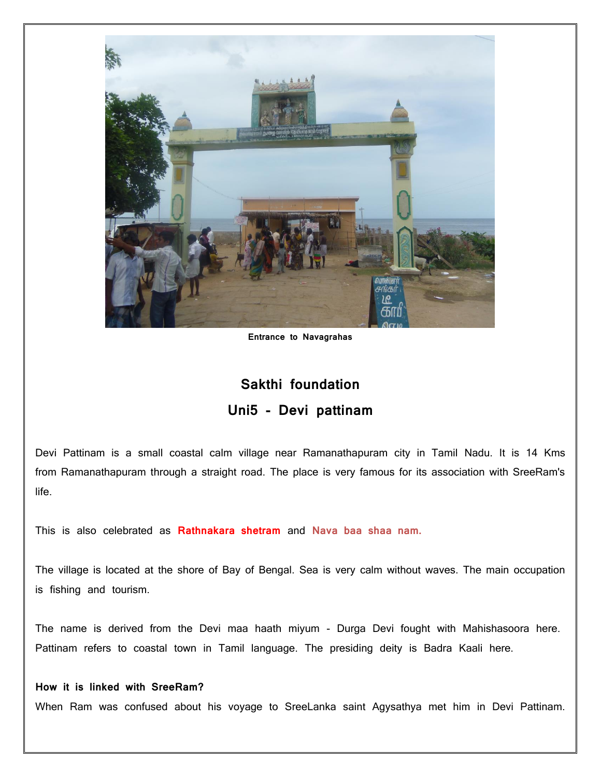

**Entrance to Navagrahas**

## **Sakthi foundation Uni5 - Devi pattinam**

Devi Pattinam is a small coastal calm village near Ramanathapuram city in Tamil Nadu. It is 14 Kms from Ramanathapuram through a straight road. The place is very famous for its association with SreeRam's life.

This is also celebrated as **Rathnakara shetram** and **Nava baa shaa nam.**

The village is located at the shore of Bay of Bengal. Sea is very calm without waves. The main occupation is fishing and tourism.

The name is derived from the Devi maa haath miyum - Durga Devi fought with Mahishasoora here. Pattinam refers to coastal town in Tamil language. The presiding deity is Badra Kaali here.

## **How it is linked with SreeRam?**

When Ram was confused about his voyage to SreeLanka saint Agysathya met him in Devi Pattinam.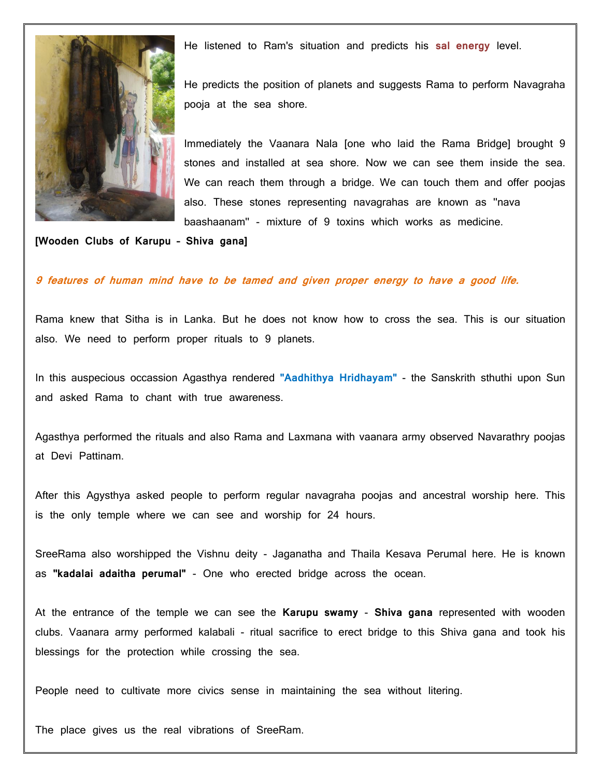

He listened to Ram's situation and predicts his **sal energy** level.

He predicts the position of planets and suggests Rama to perform Navagraha pooja at the sea shore.

Immediately the Vaanara Nala [one who laid the Rama Bridge] brought 9 stones and installed at sea shore. Now we can see them inside the sea. We can reach them through a bridge. We can touch them and offer poojas also. These stones representing navagrahas are known as ''nava baashaanam'' - mixture of 9 toxins which works as medicine.

## **[Wooden Clubs of Karupu – Shiva gana]**

## **9 features of human mind have to be tamed and given proper energy to have a good life.**

Rama knew that Sitha is in Lanka. But he does not know how to cross the sea. This is our situation also. We need to perform proper rituals to 9 planets.

In this auspecious occassion Agasthya rendered **''Aadhithya Hridhayam''** - the Sanskrith sthuthi upon Sun and asked Rama to chant with true awareness.

Agasthya performed the rituals and also Rama and Laxmana with vaanara army observed Navarathry poojas at Devi Pattinam.

After this Agysthya asked people to perform regular navagraha poojas and ancestral worship here. This is the only temple where we can see and worship for 24 hours.

SreeRama also worshipped the Vishnu deity - Jaganatha and Thaila Kesava Perumal here. He is known as **''kadalai adaitha perumal''** - One who erected bridge across the ocean.

At the entrance of the temple we can see the **Karupu swamy** - **Shiva gana** represented with wooden clubs. Vaanara army performed kalabali - ritual sacrifice to erect bridge to this Shiva gana and took his blessings for the protection while crossing the sea.

People need to cultivate more civics sense in maintaining the sea without litering.

The place gives us the real vibrations of SreeRam.